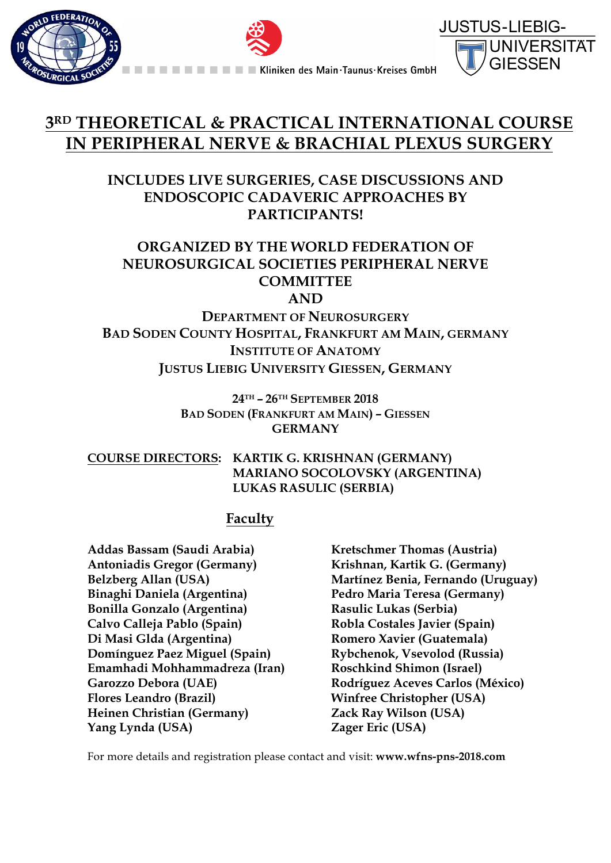





# **3RD THEORETICAL & PRACTICAL INTERNATIONAL COURSE IN PERIPHERAL NERVE & BRACHIAL PLEXUS SURGERY**

## **INCLUDES LIVE SURGERIES, CASE DISCUSSIONS AND ENDOSCOPIC CADAVERIC APPROACHES BY PARTICIPANTS!**

## **ORGANIZED BY THE WORLD FEDERATION OF NEUROSURGICAL SOCIETIES PERIPHERAL NERVE COMMITTEE AND**

**DEPARTMENT OF NEUROSURGERY BAD SODEN COUNTY HOSPITAL, FRANKFURT AM MAIN, GERMANY INSTITUTE OF ANATOMY JUSTUS LIEBIG UNIVERSITY GIESSEN, GERMANY**

> **24TH – 26TH SEPTEMBER 2018 BAD SODEN (FRANKFURT AM MAIN) – GIESSEN GERMANY**

**COURSE DIRECTORS: KARTIK G. KRISHNAN (GERMANY) MARIANO SOCOLOVSKY (ARGENTINA) LUKAS RASULIC (SERBIA)**

## **Faculty**

**Addas Bassam (Saudi Arabia) Antoniadis Gregor (Germany) Belzberg Allan (USA) Binaghi Daniela (Argentina) Bonilla Gonzalo (Argentina) Calvo Calleja Pablo (Spain) Di Masi Glda (Argentina) Domínguez Paez Miguel (Spain) Emamhadi Mohhammadreza (Iran) Garozzo Debora (UAE) Flores Leandro (Brazil) Heinen Christian (Germany) Yang Lynda (USA)**

**Kretschmer Thomas (Austria) Krishnan, Kartik G. (Germany) Martínez Benia, Fernando (Uruguay) Pedro Maria Teresa (Germany) Rasulic Lukas (Serbia) Robla Costales Javier (Spain) Romero Xavier (Guatemala) Rybchenok, Vsevolod (Russia) Roschkind Shimon (Israel) Rodríguez Aceves Carlos (México) Winfree Christopher (USA) Zack Ray Wilson (USA) Zager Eric (USA)**

For more details and registration please contact and visit: **www.wfns-pns-2018.com**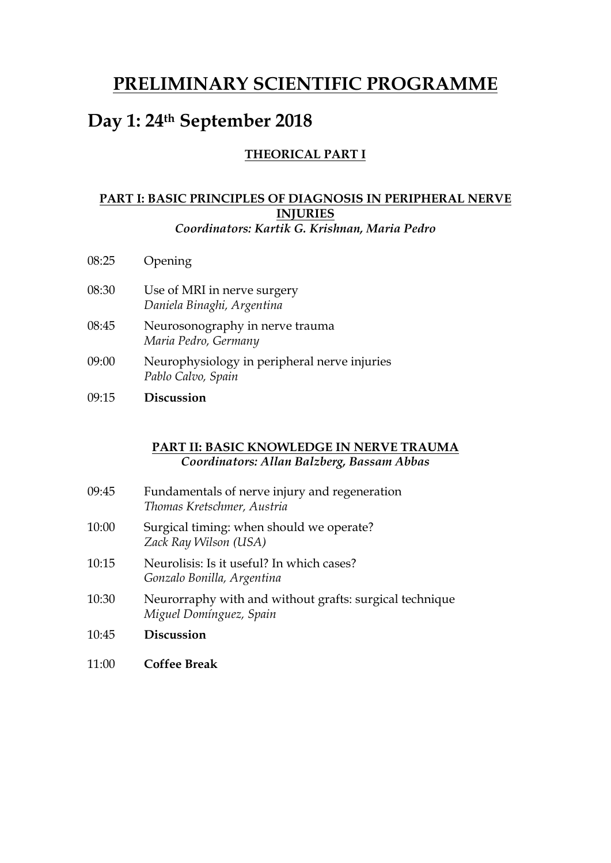# **PRELIMINARY SCIENTIFIC PROGRAMME**

# **Day 1: 24th September 2018**

## **THEORICAL PART I**

### **PART I: BASIC PRINCIPLES OF DIAGNOSIS IN PERIPHERAL NERVE INJURIES** *Coordinators: Kartik G. Krishnan, Maria Pedro*

- 08:25 Opening
- 08:30 Use of MRI in nerve surgery *Daniela Binaghi, Argentina*
- 08:45 Neurosonography in nerve trauma *Maria Pedro, Germany*
- 09:00 Neurophysiology in peripheral nerve injuries *Pablo Calvo, Spain*
- 09:15 **Discussion**

### **PART II: BASIC KNOWLEDGE IN NERVE TRAUMA** *Coordinators: Allan Balzberg, Bassam Abbas*

| 09:45 | Fundamentals of nerve injury and regeneration<br>Thomas Kretschmer, Austria        |
|-------|------------------------------------------------------------------------------------|
| 10:00 | Surgical timing: when should we operate?<br>Zack Ray Wilson (USA)                  |
| 10:15 | Neurolisis: Is it useful? In which cases?<br>Gonzalo Bonilla, Argentina            |
| 10:30 | Neurorraphy with and without grafts: surgical technique<br>Miguel Domínguez, Spain |
| 10:45 | <b>Discussion</b>                                                                  |

11:00 **Coffee Break**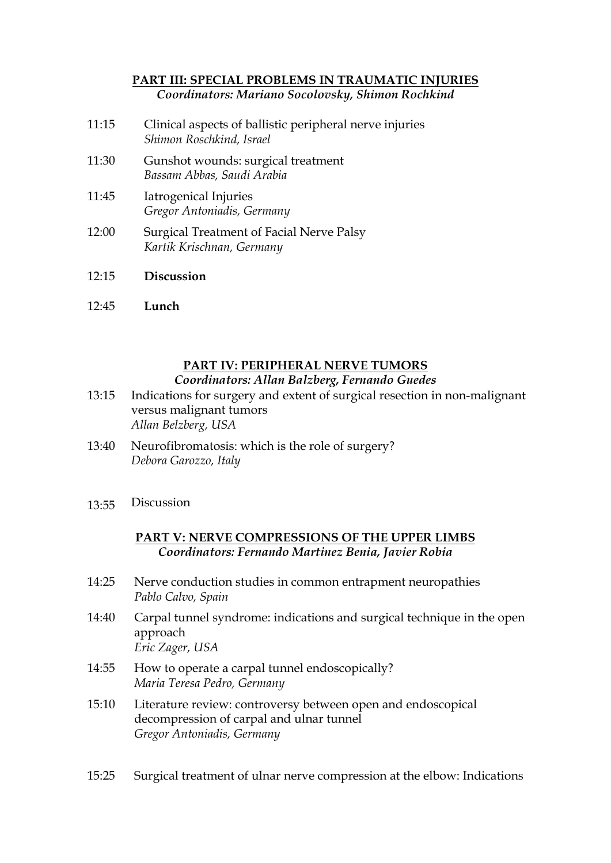### **PART III: SPECIAL PROBLEMS IN TRAUMATIC INJURIES** *Coordinators: Mariano Socolovsky, Shimon Rochkind*

- 11:15 Clinical aspects of ballistic peripheral nerve injuries *Shimon Roschkind, Israel*
- 11:30 Gunshot wounds: surgical treatment *Bassam Abbas, Saudi Arabia*
- 11:45 Iatrogenical Injuries *Gregor Antoniadis, Germany*
- 12:00 Surgical Treatment of Facial Nerve Palsy *Kartik Krischnan, Germany*
- $12.15$ **Discussion**
- 12:45 **Lunch**

#### **PART IV: PERIPHERAL NERVE TUMORS** *Coordinators: Allan Balzberg, Fernando Guedes*

- 13:15 Indications for surgery and extent of surgical resection in non-malignant versus malignant tumors *Allan Belzberg, USA*
- 13:40 Neurofibromatosis: which is the role of surgery? *Debora Garozzo, Italy*
- 13:55 Discussion

## **PART V: NERVE COMPRESSIONS OF THE UPPER LIMBS** *Coordinators: Fernando Martinez Benia, Javier Robia*

- 14:25 Nerve conduction studies in common entrapment neuropathies *Pablo Calvo, Spain*
- 14:40 Carpal tunnel syndrome: indications and surgical technique in the open approach *Eric Zager, USA*
- 14:55 How to operate a carpal tunnel endoscopically? *Maria Teresa Pedro, Germany*
- 15:10 Literature review: controversy between open and endoscopical decompression of carpal and ulnar tunnel *Gregor Antoniadis, Germany*

15:25 Surgical treatment of ulnar nerve compression at the elbow: Indications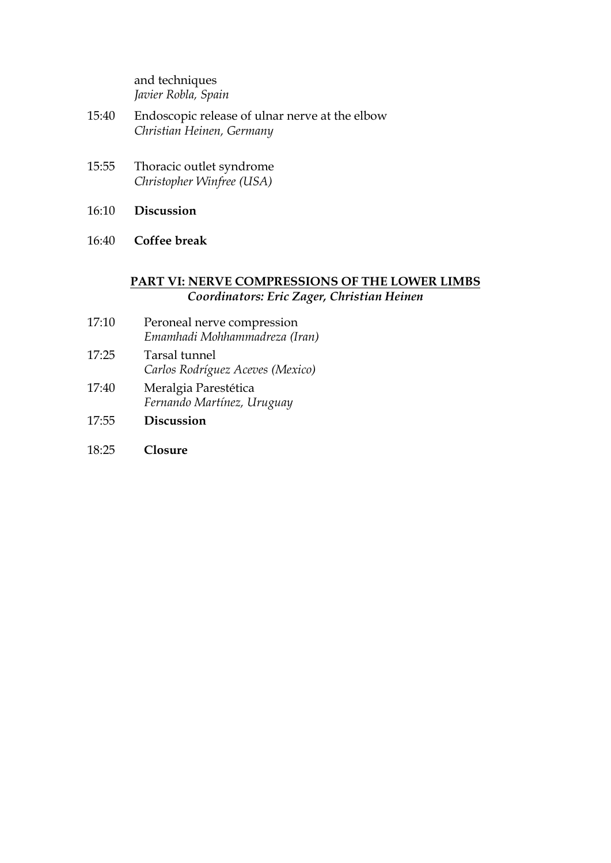and techniques *Javier Robla, Spain*

- 15:40 Endoscopic release of ulnar nerve at the elbow *Christian Heinen, Germany*
- 15:55 Thoracic outlet syndrome *Christopher Winfree (USA)*
- 16:10 **Discussion**
- 16:40 **Coffee break**

### **PART VI: NERVE COMPRESSIONS OF THE LOWER LIMBS** *Coordinators: Eric Zager, Christian Heinen*

- 17:10 Peroneal nerve compression *Emamhadi Mohhammadreza (Iran)*
- 17:25 Tarsal tunnel *Carlos Rodríguez Aceves (Mexico)*
- 17:40 Meralgia Parestética *Fernando Martínez, Uruguay*
- 17:55 **Discussion**
- 18:25 **Closure**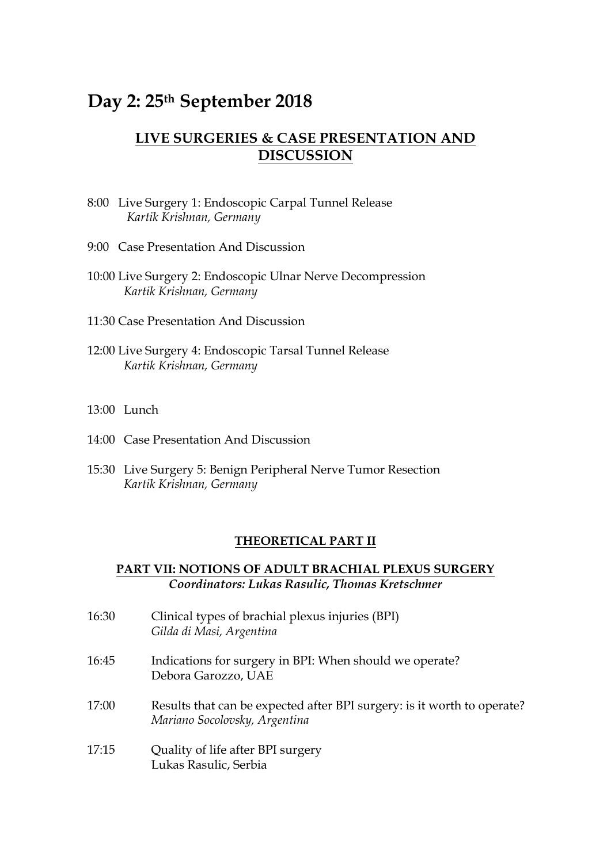# **Day 2: 25th September 2018**

## **LIVE SURGERIES & CASE PRESENTATION AND DISCUSSION**

- 8:00 Live Surgery 1: Endoscopic Carpal Tunnel Release *Kartik Krishnan, Germany*
- 9:00 Case Presentation And Discussion
- 10:00 Live Surgery 2: Endoscopic Ulnar Nerve Decompression *Kartik Krishnan, Germany*
- 11:30 Case Presentation And Discussion
- 12:00 Live Surgery 4: Endoscopic Tarsal Tunnel Release *Kartik Krishnan, Germany*
- 13:00 Lunch
- 14:00 Case Presentation And Discussion
- 15:30 Live Surgery 5: Benign Peripheral Nerve Tumor Resection *Kartik Krishnan, Germany*

#### **THEORETICAL PART II**

### **PART VII: NOTIONS OF ADULT BRACHIAL PLEXUS SURGERY** *Coordinators: Lukas Rasulic, Thomas Kretschmer*

| 16:30 | Clinical types of brachial plexus injuries (BPI)<br>Gilda di Masi, Argentina                             |
|-------|----------------------------------------------------------------------------------------------------------|
| 16:45 | Indications for surgery in BPI: When should we operate?<br>Debora Garozzo, UAE                           |
| 17:00 | Results that can be expected after BPI surgery: is it worth to operate?<br>Mariano Socolovsky, Argentina |
| 17:15 | Quality of life after BPI surgery<br>Lukas Rasulic, Serbia                                               |